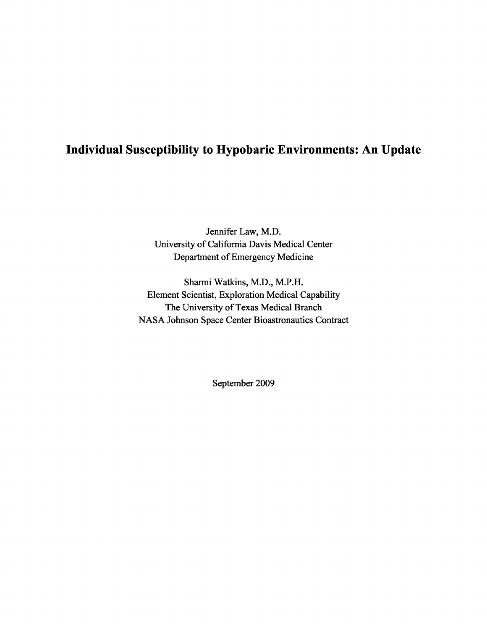# **Individual Susceptibility to Hypobaric Environments: An Update**

Jennifer Law, M.D. University of California Davis Medical Center Department of Emergency Medicine

Sharmi Watkins, M.D., M.P.H. Element Scientist, Exploration Medical Capability The University of Texas Medical Branch NASA Johnson Space Center Bioastronautics Contract

September 2009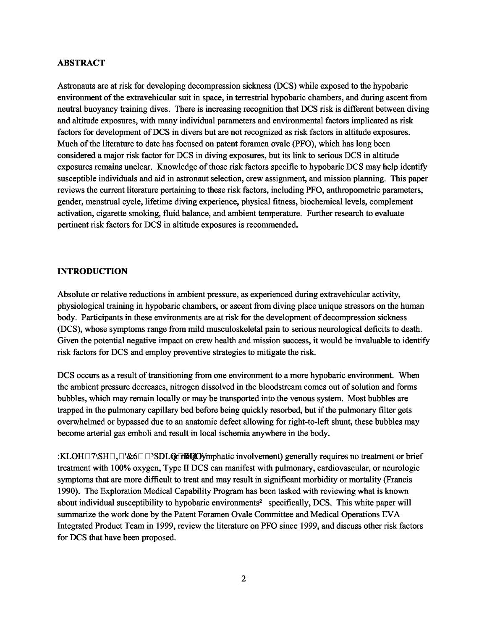### **ABSTRACT**

Astronauts are at risk for developing decompression sickness (DCS) while exposed to the hypobaric environment of the extravehicular suit in space, in terrestrial hypobaric chambers, and during ascent from neutral buoyancy training dives. There is increasing recognition that DCS risk is different between diving and altitude exposures, with many individual parameters and environmental factors implicated as risk factors for development of DCS in divers but are not recognized as risk factors in altitude exposures. Much of the literature to date has focused on patent foramen ovale (PFO), which has long been considered a major risk factor for DCS in diving exposures, but its link to serious DCS in altitude exposures remains unclear. Knowledge of those risk factors specific to hypobaric DCS may help identify susceptible individuals and aid in astronaut selection, crew assignment, and mission planning. This paper reviews the current literature pertaining to these risk factors, including PFO, anthropometric parameters, gender, menstrual cycle, lifetime diving experience, physical fitness, biochemical levels, complement activation, cigarette smoking, fluid balance, and ambient temperature. Further research to evaluate pertinent risk factors for DCS in altitude exposures is recommended.

#### **INTRODUCTION**

Absolute or relative reductions in ambient pressure, as experienced during extravehicular activity, physiological training in hypobaric chambers, or ascent from diving place unique stressors on the human body. Participants in these environments are at risk for the development of decompression sickness (DCS), whose symptoms range from mild musculoskeletal pain to serious neurological deficits to death. Given the potential negative impact on crew health and mission success, it would be invaluable to identify risk factors for DCS and employ preventive strategies to mitigate the risk.

DCS occurs as a result of transitioning from one environment to a more hypobaric environment. When the ambient pressure decreases, nitrogen dissolved in the bloodstream comes out of solution and forms bubbles, which may remain locally or may be transported into the venous system. Most bubbles are trapped in the pulmonary capillary bed before being quickly resorbed, but if the pulmonary filter gets overwhelmed or bypassed due to an anatomic defect allowing for right-to-left shunt, these bubbles may become arterial gas emboli and result in local ischemia anywhere in the body.

:KLOH $\Box$   $\Box$ '&6 $\Box$  $\Box$ <sup>3</sup>SDLOt the ON imphatic involvement) generally requires no treatment or brief treatment with 100% oxygen, Type II DCS can manifest with pulmonary, cardiovascular, or neurologic symptoms that are more difficult to treat and may result in significant morbidity or mortality (Francis 1990). The Exploration Medical Capability Program has been tasked with reviewing what is known<br>about individual susceptibility to hypobaric environments<sup>2</sup> specifically, DCS. This white paper will summarize the work done by the Patent Foramen Ovale Committee and Medical Operations EVA Integrated Product Team in 1999, review the literature on PFO since 1999, and discuss other risk factors for DCS that have been proposed.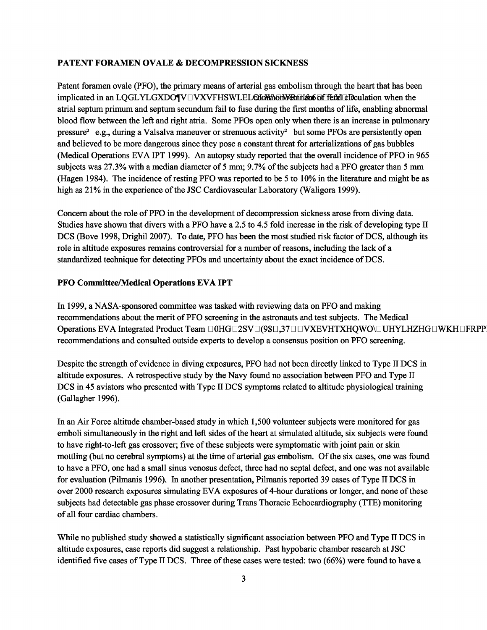### **PATENT FORAMEN OVALE & DECOMPRESSION SICKNESS**

Patent foramen ovale (PFO), the primary means of arterial gas embolism through the heart that has been implicated in an LQGLYLGXDO $\P{V} \square VXYFHSWLEL$ Common remands of fetal circulation when the atrial septum primum and septum secundum fail to fuse during the first months of life, enabling abnormal blood flow between the left and right atria. Some PFOs open only when there is an increase in pulmonary pressure<sup>2</sup> e.g., during a Valsalva maneuver or strenuous activity<sup>2</sup> but some PFOs are persistently open and believed to be more dangerous since they pose a constant threat for arterializations of gas bubbles (Medical Operations EVA IPT 1999). An autopsy study reported that the overall incidence of PFO in 965 subjects was 27.3% with a median diameter of 5 mm; 9.7% of the subjects had a PFO greater than 5 mm (Hagen 1984). The incidence of resting PFO was reported to be 5 to 10% in the literature and might be as high as 21% in the experience of the JSC Cardiovascular Laboratory (Waligora 1999).

Concern about the role of PFO in the development of decompression sickness arose from diving data. Studies have shown that divers with a PFO have a 2.5 to 4.5 fold increase in the risk of developing type II DCS (Bove 1998, Drighil 2007). To date, PFO has been the most studied risk factor of DCS, although its role in altitude exposures remains controversial for a number of reasons, including the lack of a standardized technique for detecting PFOs and uncertainty about the exact incidence of DCS.

### **PFO Committee/Medical Operations EVA IPT**

In 1999, a NASA-sponsored committee was tasked with reviewing data on PFO and making recommendations about the merit of PFO screening in the astronauts and test subjects. The Medical Operations EVA Integrated Product Team  $\Box$ OHG $\Box$ 2SV $\Box$ (9\$ $\Box$ 37 $\Box$  UVXEVHTXHQWO $\Box$ UHYLHZHG $\Box$ WKH $\Box$ FRPP: recommendations and consulted outside experts to develop a consensus position on PFO screening.

Despite the strength of evidence in diving exposures, PFO had not been directly linked to Type II DCS in altitude exposures. A retrospective study by the Navy found no association between PFO and Type II DCS in 45 aviators who presented with Type II DCS symptoms related to altitude physiological training (Gallagher 1996).

In an Air Force altitude chamber-based study in which 1,500 volunteer subjects were monitored for gas emboli simultaneously in the right and left sides of the heart at simulated altitude, six subjects were found to have right-to-left gas crossover; five of these subjects were symptomatic with joint pain or skin mottling (but no cerebral symptoms) at the time of arterial gas embolism. Of the six cases, one was found to have a PFO, one had a small sinus venosus defect, three had no septal defect, and one was not available for evaluation (Pilmanis 1996). In another presentation, Pilmanis reported 39 cases of Type II DCS in over 2000 research exposures simulating EVA exposures of 4-hour durations or longer, and none of these subjects had detectable gas phase crossover during Trans Thoracic Echocardiography (TTE) monitoring of all four cardiac chambers.

While no published study showed a statistically significant association between PFO and Type II DCS in altitude exposures, case reports did suggest a relationship. Past hypobaric chamber research at JSC identified five cases of Type II DCS. Three of these cases were tested: two (66%) were found to have a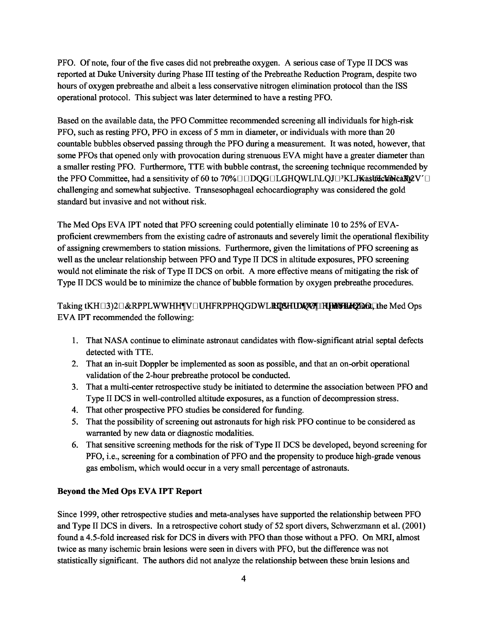PFO. Of note, four of the five cases did not prebreathe oxygen. A serious case of Type II DCS was reported at Duke University during Phase III testing of the Prebreathe Reduction Program, despite two hours of oxygen prebreathe and albeit a less conservative nitrogen elimination protocol than the ISS operational protocol. This subject was later determined to have a resting PFO.

Based on the available data, the PFO Committee recommended screening all individuals for high-risk PFO, such as resting PFO, PFO in excess of 5 mm in diameter, or individuals with more than 20 countable bubbles observed passing through the PFO during a measurement. It was noted, however, that some PFOs that opened only with provocation during strenuous EVA might have a greater diameter than a smaller resting PFO. Furthermore, TTE with bubble contrast, the screening technique recommended by the PFO Committee, had a sensitivity of 60 to 70% $\square$ DQG $\square$ LGHQWLI\LQJ $\square$ <sup>3</sup>KLJ**KasUEckMcaB)** $ZV\square$ challenging and somewhat subjective. Transesophageal echocardiography was considered the gold standard but invasive and not without risk.

The Med Ops EVA IPT noted that PFO screening could potentially eliminate 10 to 25% of EVAproficient crewmembers from the existing cadre of astronauts and severely limit the operational flexibility of assigning crewmembers to station missions. Furthermore, given the limitations of PFO screening as well as the unclear relationship between PFO and Type II DCS in altitude exposures, PFO screening would not eliminate the risk of Type II DCS on orbit. A more effective means of mitigating the risk of Type II DCS would be to minimize the chance of bubble formation by oxygen prebreathe procedures.

## Taking tKH□3)2□&RPPLWWHH¶V□UHFRPPHQGDWL**RIQSHUDQVI|IIHMXHLtQnd**iLthe Med Ops EVA IPT recommended the following:

- 1. That NASA continue to eliminate astronaut candidates with flow-significant atrial septal defects detected with TTE.
- 2. That an in-suit Doppler be implemented as soon as possible, and that an on-orbit operational validation of the 2-hour prebreathe protocol be conducted.
- 3. That a multi-center retrospective study be initiated to determine the association between PFO and Type II DCS in well-controlled altitude exposures, as a function of decompression stress.
- 4. That other prospective PFO studies be considered for funding.
- 5. That the possibility of screening out astronauts for high risk PFO continue to be considered as warranted by new data or diagnostic modalities.
- 6. That sensitive screening methods for the risk of Type II DCS be developed, beyond screening for PFO, i.e., screening for a combination of PFO and the propensity to produce high-grade venous gas embolism, which would occur in a very small percentage of astronauts.

### **Beyond the Med Ops EVA IPT Report**

Since 1999, other retrospective studies and meta-analyses have supported the relationship between PFO and Type II DCS in divers. In a retrospective cohort study of 52 sport divers, Schwerzmann et al. (2001) found a 4.5-fold increased risk for DCS in divers with PFO than those without a PFO. On MRI, almost twice as many ischemic brain lesions were seen in divers with PFO, but the difference was not statistically significant. The authors did not analyze the relationship between these brain lesions and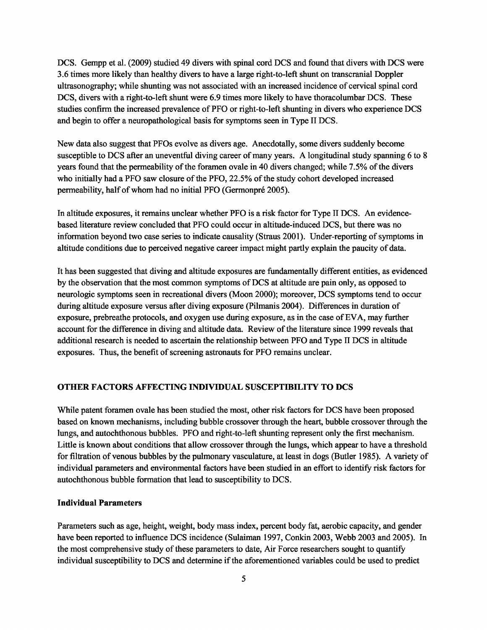DCS. Gempp et al. (2009) studied 49 divers with spinal cord DCS and found that divers with DCS were 3.6 times more likely than healthy divers to have a large right-to-left shunt on transcranial Doppler ultrasonography; while shunting was not associated with an increased incidence of cervical spinal cord DCS, divers with a right-to-left shunt were 6.9 times more likely to have thoracolumbar DCS. These studies confirm the increased prevalence of PFO or right-to-left shunting in divers who experience DCS and begin to offer a neuropathological basis for symptoms seen in Type II DCS.

New data also suggest that PFOs evolve as divers age. Anecdotally, some divers suddenly become susceptible to DCS after an uneventful diving career of many years. A longitudinal study spanning 6 to 8 years found that the permeability of the foramen ovale in 40 divers changed; while 7.5% of the divers who initially had a PFO saw closure of the PFO, 22.5% of the study cohort developed increased permeability, half of whom had no initial PFO (Germonpré 2005).

In altitude exposures, it remains unclear whether PFO is a risk factor for Type II DCS. An evidencebased literature review concluded that PFO could occur in altitude-induced DCS, but there was no information beyond two case series to indicate causality (Straus 2001). Under-reporting of symptoms in altitude conditions due to perceived negative career impact might partly explain the paucity of data.

It has been suggested that diving and altitude exposures are fundamentally different entities, as evidenced by the observation that the most common symptoms of DCS at altitude are pain only, as opposed to neurologic symptoms seen in recreational divers (Moon 2000); moreover, DCS symptoms tend to occur during altitude exposure versus after diving exposure (Pilmanis 2004). Differences in duration of exposure, prebreathe protocols, and oxygen use during exposure, as in the case of EVA, may further account for the difference in diving and altitude data. Review of the literature since 1999 reveals that additional research is needed to ascertain the relationship between PFO and Type II DCS in altitude exposures. Thus, the benefit of screening astronauts for PFO remains unclear.

### **OTHER FACTORS AFFECTING INDIVIDUAL SUSCEPTIBILITY TO DCS**

While patent foramen ovale has been studied the most, other risk factors for DCS have been proposed based on known mechanisms, including bubble crossover through the heart, bubble crossover through the lungs, and autochthonous bubbles. PFO and right-to-left shunting represent only the first mechanism. Little is known about conditions that allow crossover through the lungs, which appear to have a threshold for filtration of venous bubbles by the pulmonary vasculature, at least in dogs (Butler 1985). A variety of individual parameters and environmental factors have been studied in an effort to identify risk factors for autochthonous bubble formation that lead to susceptibility to DCS.

### **Individual Parameters**

Parameters such as age, height, weight, body mass index, percent body fat, aerobic capacity, and gender have been reported to influence DCS incidence (Sulaiman 1997, Conkin 2003, Webb 2003 and 2005). In the most comprehensive study of these parameters to date, Air Force researchers sought to quantify individual susceptibility to DCS and determine if the aforementioned variables could be used to predict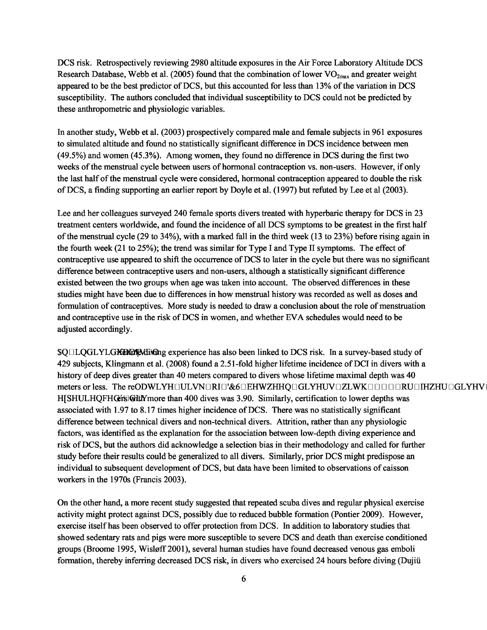DCS risk. Retrospectively reviewing 2980 altitude exposures in the Air Force Laboratory Altitude DCS Research Database, Webb et al. (2005) found that the combination of lower  $VO_{2max}$  and greater weight appeared to be the best predictor of DCS, but this accounted for less than 13% of the variation in DCS susceptibility. The authors concluded that individual susceptibility to DCS could not be predicted by these anthropometric and physiologic variables.

In another study, Webb et al. (2003) prospectively compared male and female subjects in 961 exposures to simulated altitude and found no statistically significant difference in DCS incidence between men (49.5%) and women (45.3%). Among women, they found no difference in DCS during the first two weeks of the menstrual cycle between users of hormonal contraception vs. non-users. However, if only the last half of the menstrual cycle were considered, hormonal contraception appeared to double the risk of DCS, a finding supporting an earlier report by Doyle et al. (1997) but refuted by Lee et al (2003).

Lee and her colleagues surveyed 240 female sports divers treated with hyperbaric therapy for DCS in 23 treatment centers worldwide, and found the incidence of all DCS symptoms to be greatest in the first half of the menstrual cycle (29 to 34%), with a marked fall in the third week (13 to 23%) before rising again in the fourth week (21 to 25%); the trend was similar for Type I and Type II symptoms. The effect of contraceptive use appeared to shift the occurrence of DCS to later in the cycle but there was no significant difference between contraceptive users and non-users, although a statistically significant difference existed between the two groups when age was taken into account. The observed differences in these studies might have been due to differences in how menstrual history was recorded as well as doses and formulation of contraceptives. More study is needed to draw a conclusion about the role of menstruation and contraceptive use in the risk of DCS in women, and whether EVA schedules would need to be adjusted accordingly.

 $\text{SQILQGLYLGKEMR with}$  experience has also been linked to DCS risk. In a survey-based study of 429 subjects, Klingmann et al. (2008) found a 2.51-fold higher lifetime incidence of DCI in divers with a history of deep dives greater than 40 meters compared to divers whose lifetime maximal depth was 40 meters or less. The reODWLYHOULVNORIO'&60EHWZHHQOGLYHUVOZLWKOOOOORUOHZHUOGLYHV H[SHULHQFHGts GittY more than 400 dives was 3.90. Similarly, certification to lower depths was associated with 1.97 to 8.17 times higher incidence of DCS. There was no statistically significant difference between technical divers and non-technical divers. Attrition, rather than any physiologic factors, was identified as the explanation for the association between low-depth diving experience and risk of DCS, but the authors did acknowledge a selection bias in their methodology and called for further study before their results could be generalized to all divers. Similarly, prior DCS might predispose an individual to subsequent development of DCS, but data have been limited to observations of caisson workers in the 1970s (Francis 2003).

On the other hand, a more recent study suggested that repeated scuba dives and regular physical exercise activity might protect against DCS, possibly due to reduced bubble formation (Pontier 2009). However, exercise itself has been observed to offer protection from DCS. In addition to laboratory studies that showed sedentary rats and pigs were more susceptible to severe DCS and death than exercise conditioned groups (Broome 1995, Wisløff 2001), several human studies have found decreased venous gas emboli formation, thereby inferring decreased DCS risk, in divers who exercised 24 hours before diving (Dujiü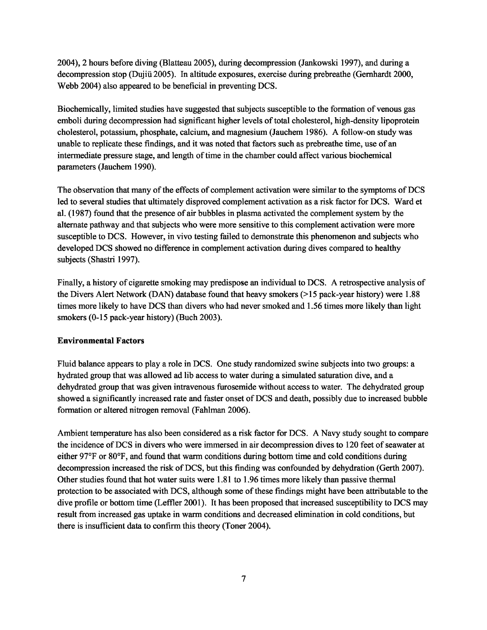2004), 2 hours before diving (Blatteau 2005), during decompression (Jankowski 1997), and during a decompression stop (Dujiii 2005). In altitude exposures, exercise during prebreathe (Gernhardt 2000, Webb 2004) also appeared to be beneficial in preventing DCS.

Biochemically, limited studies have suggested that subjects susceptible to the formation of venous gas emboli during decompression had significant higher levels of total cholesterol, high-density lipoprotein cholesterol, potassium, phosphate, calcium, and magnesium (Jauchem 1986). A follow-on study was unable to replicate these findings, and it was noted that factors such as prebreathe time, use of an intermediate pressure stage, and length of time in the chamber could affect various biochemical parameters (Jauchem 1990).

The observation that many of the effects of complement activation were similar to the symptoms of DCS led to several studies that ultimately disproved complement activation as a risk factor for DCS. Ward et al. (1987) found that the presence of air bubbles in plasma activated the complement system by the alternate pathway and that subjects who were more sensitive to this complement activation were more susceptible to DCS. However, in vivo testing failed to demonstrate this phenomenon and subjects who developed DCS showed no difference in complement activation during dives compared to healthy subjects (Shastri 1997).

Finally, a history of cigarette smoking may predispose an individual to DCS. A retrospective analysis of the Divers Alert Network (DAN) database found that heavy smokers (>15 pack-year history) were 1.88 times more likely to have DCS than divers who had never smoked and 1.56 times more likely than light smokers (0-15 pack-year history) (Buch 2003).

### **Environmental Factors**

Fluid balance appears to play a role in DCS. One study randomized swine subjects into two groups: a hydrated group that was allowed ad lib access to water during a simulated saturation dive, and a dehydrated group that was given intravenous furosemide without access to water. The dehydrated group showed a significantly increased rate and faster onset of DCS and death, possibly due to increased bubble formation or altered nitrogen removal (Fahlman 2006).

Ambient temperature has also been considered as a risk factor for DCS. A Navy study sought to compare the incidence of DCS in divers who were immersed in air decompression dives to 120 feet of seawater at either 97°F or 80°F, and found that warm conditions during bottom time and cold conditions during decompression increased the risk of DCS, but this finding was confounded by dehydration (Gerth 2007). Other studies found that hot water suits were 1.81 to 1.96 times more likely than passive thermal protection to be associated with DCS, although some of these findings might have been attributable to the dive profile or bottom time (Leffler 2001). It has been proposed that increased susceptibility to DCS may result from increased gas uptake in warm conditions and decreased elimination in cold conditions, but there is insufficient data to confirm this theory (Toner 2004).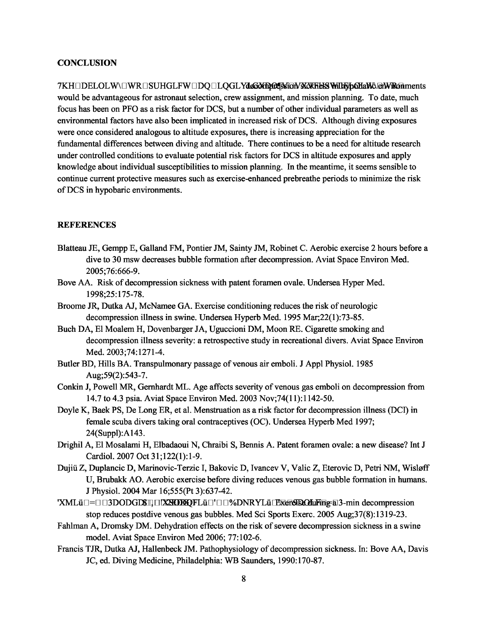#### **CONCLUSION**

7KHoDELOLW\oWROSUHGLFWODQOLQGLYdeGXmp0ejSsicM3KXKRESS WillFyb6HaWRdHments would be advantageous for astronaut selection, crew assignment, and mission planning. To date, much focus has been on PFO as a risk factor for DCS, but a number of other individual parameters as well as environmental factors have also been implicated in increased risk of DCS. Although diving exposures were once considered analogous to altitude exposures, there is increasing appreciation for the fundamental differences between diving and altitude. There continues to be a need for altitude research under controlled conditions to evaluate potential risk factors for DCS in altitude exposures and apply knowledge about individual susceptibilities to mission planning. In the meantime, it seems sensible to continue current protective measures such as exercise-enhanced prebreathe periods to minimize the risk of DCS in hypobaric environments.

### **REFERENCES**

- Blatteau JE, Gempp E, Galland FM, Pontier JM, Sainty JM, Robinet C. Aerobic exercise 2 hours before a dive to 30 msw decreases bubble formation after decompression. Aviat Space Environ Med. 2005;76:666-9.
- Bove AA. Risk of decompression sickness with patent foramen ovale. Undersea Hyper Med. 1998;25:175-78.
- Broome JR, Dutka AJ, McNamee GA. Exercise conditioning reduces the risk of neurologic decompression illness in swine. Undersea Hyperb Med. 1995 Mar;22(1):73-85.
- Buch DA, El Moalem H, Dovenbarger JA, Uguccioni DM, Moon RE. Cigarette smoking and decompression illness severity: a retrospective study in recreational divers. Aviat Space Environ Med. 2003;74:1271-4.
- Butler BD, Hills BA. Transpulmonary passage of venous air emboli. J Appl Physiol. 1985 Aug;59(2):543-7.
- Conkin J, Powell MR, Gernhardt ML. Age affects severity of venous gas emboli on decompression from 14.7 to 4.3 psia. Aviat Space Environ Med. 2003 Nov;74(11):1142-50.
- Doyle K, Baek PS, De Long ER, et al. Menstruation as a risk factor for decompression illness (DCI) in female scuba divers taking oral contraceptives (OC). Undersea Hyperb Med 1997; 24(Suppl):A143.
- Drighil A, El Mosalami H, Elbadaoui N, Chraibi S, Bennis A. Patent foramen ovale: a new disease? Int J Cardiol. 2007 Oct 31;122(1):1-9.
- Dujiii Z, Duplancic D, Marinovic-Terzic I, Bakovic D, Ivancev V, Valic Z, Eterovic D, Petri NM, Wisløff U, Brubakk AO. Aerobic exercise before diving reduces venous gas bubble formation in humans. J Physiol. 2004 Mar 16;555(Pt 3):637-42.
- 'XML $\ddot{u}$ |=||3DODGD\$I||||XXODQFL $\ddot{u}$ |'||2MRYL $\ddot{u}$ |'Exercise during a 3-min decompression stop reduces postdive venous gas bubbles. Med Sci Sports Exerc. 2005 Aug;37(8):1319-23.
- Fahlman A, Dromsky DM. Dehydration effects on the risk of severe decompression sickness in a swine model. Aviat Space Environ Med 2006; 77:102-6.
- Francis TJR, Dutka AJ, Hallenbeck JM. Pathophysiology of decompression sickness. In: Bove AA, Davis JC, ed. Diving Medicine, Philadelphia: WB Saunders, 1990:170-87.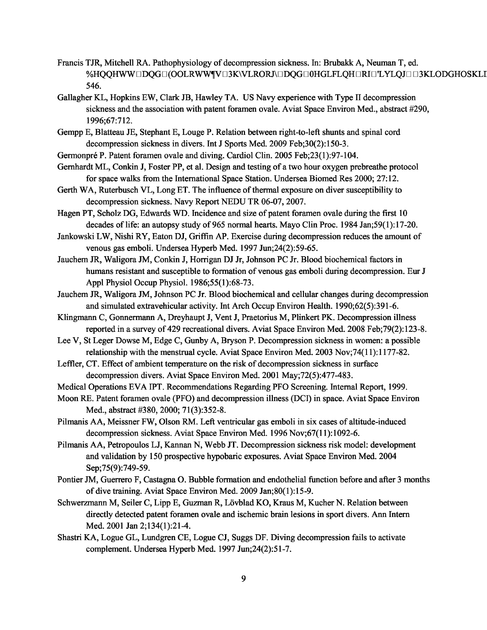- Francis TJR, Mitchell RA. Pathophysiology of decompression sickness. In: Brubakk A, Neuman T, ed. %HQQHWW¤DQG¤(OOLRWW¶V¤3K\VLRORJ\¤DQG¤0HGLFLQH¤RI¤'LYLQJ¤¤3KLODGHOSKLI 546.
- Gallagher KL, Hopkins EW, Clark JB, Hawley TA. US Navy experience with Type II decompression sickness and the association with patent foramen ovale. Aviat Space Environ Med., abstract #290, 1996;67:712.
- Gempp E, Blatteau JE, Stephant E, Louge P. Relation between right-to-left shunts and spinal cord decompression sickness in divers. Int J Sports Med. 2009 Feb;30(2):150-3.
- Germonpré P. Patent foramen ovale and diving. Cardiol Clin. 2005 Feb;23(1):97-104.
- Gernhardt ML, Conkin J, Foster PP, et al. Design and testing of a two hour oxygen prebreathe protocol for space walks from the International Space Station. Undersea Biomed Res 2000; 27:12.
- Gerth WA, Ruterbusch VL, Long ET. The influence of thermal exposure on diver susceptibility to decompression sickness. Navy Report NEDU TR 06-07, 2007.
- Hagen PT, Scholz DG, Edwards WD. Incidence and size of patent foramen ovale during the first 10 decades of life: an autopsy study of 965 normal hearts. Mayo Clin Proc. 1984 Jan;59(1):17-20.
- Jankowski LW, Nishi RY, Eaton DJ, Griffin AP. Exercise during decompression reduces the amount of venous gas emboli. Undersea Hyperb Med. 1997 Jun;24(2):59-65.
- Jauchem JR, Waligora JM, Conkin J, Horrigan DJ Jr, Johnson PC Jr. Blood biochemical factors in humans resistant and susceptible to formation of venous gas emboli during decompression. Eur J Appl Physiol Occup Physiol. 1986;55(1):68-73.
- Jauchem JR, Waligora JM, Johnson PC Jr. Blood biochemical and cellular changes during decompression and simulated extravehicular activity. Int Arch Occup Environ Health. 1990;62(5):391-6.
- Klingmann C, Gonnermann A, Dreyhaupt J, Vent J, Praetorius M, Plinkert PK. Decompression illness reported in a survey of 429 recreational divers. Aviat Space Environ Med. 2008 Feb;79(2):123-8.
- Lee V, St Leger Dowse M, Edge C, Gunby A, Bryson P. Decompression sickness in women: a possible relationship with the menstrual cycle. Aviat Space Environ Med. 2003 Nov;74(11):1177-82.
- Leffler, CT. Effect of ambient temperature on the risk of decompression sickness in surface decompression divers. Aviat Space Environ Med. 2001 May;72(5):477-483.
- Medical Operations EVA IPT. Recommendations Regarding PFO Screening. Internal Report, 1999.
- Moon RE. Patent foramen ovale (PFO) and decompression illness (DCI) in space. Aviat Space Environ Med., abstract #380, 2000; 71(3):352-8.
- Pilmanis AA, Meissner FW, Olson RM. Left ventricular gas emboli in six cases of altitude-induced decompression sickness. Aviat Space Environ Med. 1996 Nov;67(11):1092-6.
- Pilmanis AA, Petropoulos LJ, Kannan N, Webb JT. Decompression sickness risk model: development and validation by 150 prospective hypobaric exposures. Aviat Space Environ Med. 2004 Sep;75(9):749-59.
- Pontier JM, Guerrero F, Castagna O. Bubble formation and endothelial function before and after 3 months of dive training. Aviat Space Environ Med. 2009 Jan;80(1):15-9.
- Schwerzmann M, Seiler C, Lipp E, Guzman R, Lövblad KO, Kraus M, Kucher N. Relation between directly detected patent foramen ovale and ischemic brain lesions in sport divers. Ann Intern Med. 2001 Jan 2;134(1):21-4.
- Shastri KA, Logue GL, Lundgren CE, Logue CJ, Suggs DF. Diving decompression fails to activate complement. Undersea Hyperb Med. 1997 Jun;24(2):51-7.